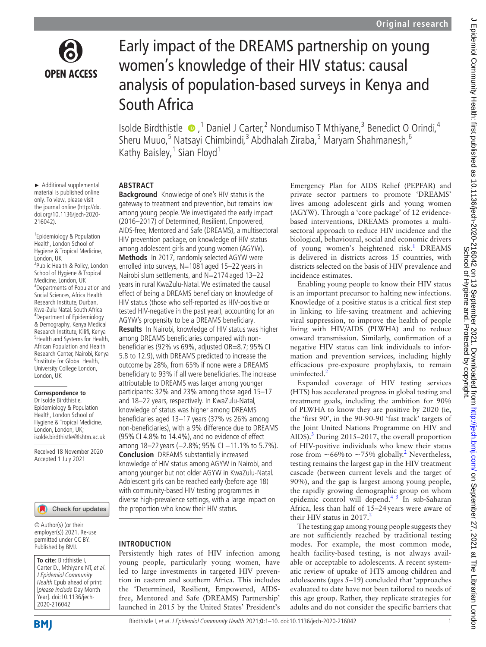

# Early impact of the DREAMS partnership on young women's knowledge of their HIV status: causal analysis of population-based surveys in Kenya and South Africa

Isolde Birdthistle  $\bullet$ , <sup>1</sup> Daniel J Carter, <sup>2</sup> Nondumiso T Mthiyane, <sup>3</sup> Benedict O Orindi, <sup>4</sup> Sheru Muuo,<sup>5</sup> Natsayi Chimbindi,<sup>3</sup> Abdhalah Ziraba,<sup>5</sup> Maryam Shahmanesh,<sup>6</sup> Kathy Baisley,<sup>1</sup> Sian Floyd<sup>1</sup>

## **ABSTRACT**

► Additional supplemental material is published online only. To view, please visit the journal online [\(http://dx.](http://dx.doi.org/10.1136/jech-2020-216042) [doi.org/10.1136/jech-2020-](http://dx.doi.org/10.1136/jech-2020-216042) [216042](http://dx.doi.org/10.1136/jech-2020-216042)).

1 Epidemiology & Population Health, London School of Hygiene & Tropical Medicine, London, UK 2 Public Health & Policy, London School of Hygiene & Tropical Medicine, London, UK 3 Departments of Population and Social Sciences, Africa Health Research Institute, Durban, Kwa-Zulu Natal, South Africa <sup>4</sup> Department of Epidemiology & Demography, Kenya Medical Research Institute, Kilifi, Kenya <sup>5</sup> Health and Systems for Health, African Population and Health Research Center, Nairobi, Kenya <sup>6</sup>Institute for Global Health, University College London, London, UK

#### **Correspondence to**

Dr Isolde Birdthistle, Epidemiology & Population Health, London School of Hygiene & Tropical Medicine, London, London, UK; isolde.birdthistle@lshtm.ac.uk

Received 18 November 2020 Accepted 1 July 2021

Check for updates

© Author(s) (or their employer(s)) 2021. Re-use permitted under CC BY. Published by BMJ.

**To cite:** Birdthistle I, Carter DJ, Mthiyane NT, et al. J Epidemiol Community Health Epub ahead of print: [please include Day Month Year]. doi:10.1136/jech-2020-216042

**Background** Knowledge of one's HIV status is the gateway to treatment and prevention, but remains low among young people. We investigated the early impact (2016–2017) of Determined, Resilient, Empowered, AIDS-free, Mentored and Safe (DREAMS), a multisectoral HIV prevention package, on knowledge of HIV status among adolescent girls and young women (AGYW). **Methods** In 2017, randomly selected AGYW were enrolled into surveys, N=1081 aged 15-22 years in Nairobi slum settlements, and N=2174 aged 13–22 years in rural KwaZulu-Natal. We estimated the causal effect of being a DREAMS beneficiary on knowledge of HIV status (those who self-reported as HIV-positive or tested HIV-negative in the past year), accounting for an AGYW's propensity to be a DREAMS beneficiary.

**Results** In Nairobi, knowledge of HIV status was higher among DREAMS beneficiaries compared with nonbeneficiaries (92% vs 69%, adjusted OR=8.7; 95%CI 5.8 to 12.9), with DREAMS predicted to increase the outcome by 28%, from 65% if none were a DREAMS beneficiary to 93% if all were beneficiaries. The increase attributable to DREAMS was larger among younger participants: 32% and 23% among those aged 15–17 and 18–22 years, respectively. In KwaZulu-Natal, knowledge of status was higher among DREAMS beneficiaries aged 13–17 years (37% vs 26% among non-beneficiaries), with a 9% difference due to DREAMS (95%CI 4.8% to 14.4%), and no evidence of effect among 18–22 years (-2.8%; 95% CI -11.1% to 5.7%). **Conclusion** DREAMS substantially increased knowledge of HIV status among AGYW in Nairobi, and among younger but not older AGYW in KwaZulu-Natal. Adolescent girls can be reached early (before age 18) with community-based HIV testing programmes in diverse high-prevalence settings, with a large impact on the proportion who know their HIV status.

## **INTRODUCTION**

Persistently high rates of HIV infection among young people, particularly young women, have led to large investments in targeted HIV prevention in eastern and southern Africa. This includes the 'Determined, Resilient, Empowered, AIDSfree, Mentored and Safe (DREAMS) Partnership' launched in 2015 by the United States' President's Emergency Plan for AIDS Relief (PEPFAR) and private sector partners to promote 'DREAMS' lives among adolescent girls and young women (AGYW). Through a 'core package' of 12 evidencebased interventions, DREAMS promotes a multisectoral approach to reduce HIV incidence and the biological, behavioural, social and economic drivers of young women's heightened risk.<sup>[1](#page-9-0)</sup> DREAMS is delivered in districts across 15 countries, with districts selected on the basis of HIV prevalence and incidence estimates.

Enabling young people to know their HIV status is an important precursor to halting new infections. Knowledge of a positive status is a critical first step in linking to life-saving treatment and achieving viral suppression, to improve the health of people living with HIV/AIDS (PLWHA) and to reduce onward transmission. Similarly, confirmation of a negative HIV status can link individuals to information and prevention services, including highly efficacious pre-exposure prophylaxis, to remain uninfected.<sup>[2](#page-9-1)</sup>

Expanded coverage of HIV testing services (HTS) has accelerated progress in global testing and treatment goals, including the ambition for 90% of PLWHA to know they are positive by 2020 (ie, the 'first 90', in the 90-90-90 'fast track' targets of the Joint United Nations Programme on HIV and AIDS).<sup>[3](#page-9-2)</sup> During 2015–2017, the overall proportion of HIV-positive individuals who knew their status rose from  $\sim 66\%$  to  $\sim 75\%$  globally.<sup>[2](#page-9-1)</sup> Nevertheless, testing remains the largest gap in the HIV treatment cascade (between current levels and the target of 90%), and the gap is largest among young people, the rapidly growing demographic group on whom epidemic control will depend.<sup>45</sup> In sub-Saharan Africa, less than half of 15–24years were aware of their HIV status in  $2017<sup>2</sup>$  $2017<sup>2</sup>$ 

The testing gap among young people suggests they are not sufficiently reached by traditional testing modes. For example, the most common mode, health facility-based testing, is not always available or acceptable to adolescents. A recent systematic review of uptake of HTS among children and adolescents (ages 5–19) concluded that 'approaches evaluated to date have not been tailored to needs of this age group. Rather, they replicate strategies for adults and do not consider the specific barriers that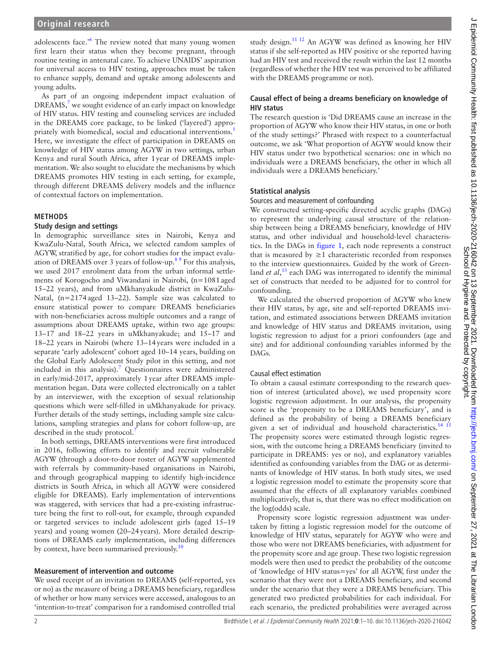## **Original research**

adolescents face.<sup>5[6](#page-9-4)</sup> The review noted that many young women first learn their status when they become pregnant, through routine testing in antenatal care. To achieve UNAIDS' aspiration for universal access to HIV testing, approaches must be taken to enhance supply, demand and uptake among adolescents and young adults.

As part of an ongoing independent impact evaluation of DREAMS, $<sup>7</sup>$  $<sup>7</sup>$  $<sup>7</sup>$  we sought evidence of an early impact on knowledge</sup> of HIV status. HIV testing and counseling services are included in the DREAMS core package, to be linked ('layered') appro-priately with biomedical, social and educational interventions.<sup>[1](#page-9-0)</sup> Here, we investigate the effect of participation in DREAMS on knowledge of HIV status among AGYW in two settings, urban Kenya and rural South Africa, after 1year of DREAMS implementation. We also sought to elucidate the mechanisms by which DREAMS promotes HIV testing in each setting, for example, through different DREAMS delivery models and the influence of contextual factors on implementation.

## **METHODS**

#### **Study design and settings**

In demographic surveillance sites in Nairobi, Kenya and KwaZulu-Natal, South Africa, we selected random samples of AGYW, stratified by age, for cohort studies for the impact evaluation of DREAMS over 3 years of follow-up[.8 9](#page-9-6) For this analysis, we used 2017 enrolment data from the urban informal settlements of Korogocho and Viwandani in Nairobi, (n=1081aged 15–22 years), and from uMkhanyakude district in KwaZulu-Natal, (n=2174aged 13–22). Sample size was calculated to ensure statistical power to compare DREAMS beneficiaries with non-beneficiaries across multiple outcomes and a range of assumptions about DREAMS uptake, within two age groups: 13–17 and 18–22 years in uMkhanyakude; and 15–17 and 18–22 years in Nairobi (where 13–14years were included in a separate 'early adolescent' cohort aged 10–14 years, building on the Global Early Adolescent Study pilot in this setting, and not included in this analysis).<sup>7</sup> Questionnaires were administered in early/mid-2017, approximately 1year after DREAMS implementation began. Data were collected electronically on a tablet by an interviewer, with the exception of sexual relationship questions which were self-filled in uMkhanyakude for privacy. Further details of the study settings, including sample size calculations, sampling strategies and plans for cohort follow-up, are described in the study protocol.<sup>[7](#page-9-5)</sup>

In both settings, DREAMS interventions were first introduced in 2016, following efforts to identify and recruit vulnerable AGYW (through a door-to-door roster of AGYW supplemented with referrals by community-based organisations in Nairobi, and through geographical mapping to identify high-incidence districts in South Africa, in which all AGYW were considered eligible for DREAMS). Early implementation of interventions was staggered, with services that had a pre-existing infrastructure being the first to roll-out, for example, through expanded or targeted services to include adolescent girls (aged 15–19 years) and young women (20–24years). More detailed descriptions of DREAMS early implementation, including differences by context, have been summarised previously.<sup>10</sup>

#### **Measurement of intervention and outcome**

We used receipt of an invitation to DREAMS (self-reported, yes or no) as the measure of being a DREAMS beneficiary, regardless of whether or how many services were accessed, analogous to an 'intention-to-treat' comparison for a randomised controlled trial

study design.[11 12](#page-9-8) An AGYW was defined as knowing her HIV status if she self-reported as HIV positive or she reported having had an HIV test and received the result within the last 12 months (regardless of whether the HIV test was perceived to be affiliated with the DREAMS programme or not).

#### **Causal effect of being a dreams beneficiary on knowledge of HIV status**

The research question is 'Did DREAMS cause an increase in the proportion of AGYW who know their HIV status, in one or both of the study settings?' Phrased with respect to a counterfactual outcome, we ask 'What proportion of AGYW would know their HIV status under two hypothetical scenarios: one in which no individuals were a DREAMS beneficiary, the other in which all individuals were a DREAMS beneficiary.'

#### **Statistical analysis**

#### Sources and measurement of confounding

We constructed setting-specific directed acyclic graphs (DAGs) to represent the underlying causal structure of the relationship between being a DREAMS beneficiary, knowledge of HIV status, and other individual and household-level characteristics. In the DAGs in [figure](#page-2-0) 1, each node represents a construct that is measured by  $\geq 1$  characteristic recorded from responses to the interview questionnaires. Guided by the work of Greenland *et al*,<sup>[13](#page-9-9)</sup> each DAG was interrogated to identify the minimal set of constructs that needed to be adjusted for to control for confounding.

We calculated the observed proportion of AGYW who knew their HIV status, by age, site and self-reported DREAMS invitation, and estimated associations between DREAMS invitation and knowledge of HIV status and DREAMS invitation, using logistic regression to adjust for a priori confounders (age and site) and for additional confounding variables informed by the DAGs.

#### Causal effect estimation

To obtain a causal estimate corresponding to the research question of interest (articulated above), we used propensity score logistic regression adjustment. In our analysis, the propensity score is the 'propensity to be a DREAMS beneficiary', and is defined as the probability of being a DREAMS beneficiary given a set of individual and household characteristics.<sup>[14 15](#page-9-10)</sup> The propensity scores were estimated through logistic regression, with the outcome being a DREAMS beneficiary (invited to participate in DREAMS: yes or no), and explanatory variables identified as confounding variables from the DAG or as determinants of knowledge of HIV status. In both study sites, we used a logistic regression model to estimate the propensity score that assumed that the effects of all explanatory variables combined multiplicatively, that is, that there was no effect modification on the log(odds) scale.

Propensity score logistic regression adjustment was undertaken by fitting a logistic regression model for the outcome of knowledge of HIV status, separately for AGYW who were and those who were not DREAMS beneficiaries, with adjustment for the propensity score and age group. These two logistic regression models were then used to predict the probability of the outcome of 'knowledge of HIV status=yes' for all AGYW, first under the scenario that they were not a DREAMS beneficiary, and second under the scenario that they were a DREAMS beneficiary. This generated two predicted probabilities for each individual. For each scenario, the predicted probabilities were averaged across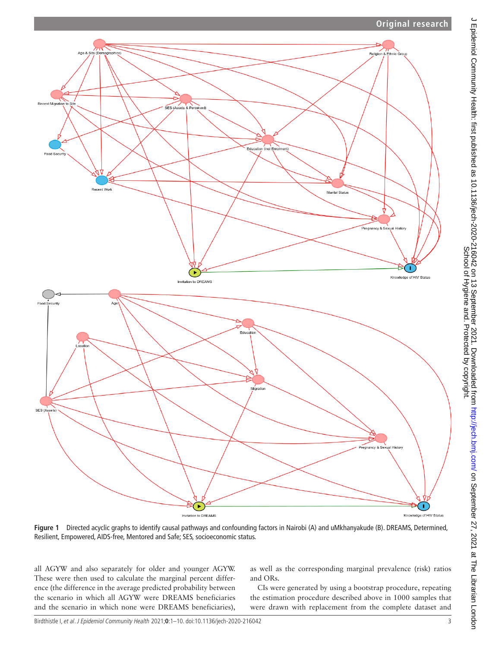

<span id="page-2-0"></span>**Figure 1** Directed acyclic graphs to identify causal pathways and confounding factors in Nairobi (A) and uMkhanyakude (B). DREAMS, Determined, Resilient, Empowered, AIDS-free, Mentored and Safe; SES, socioeconomic status.

all AGYW and also separately for older and younger AGYW. These were then used to calculate the marginal percent difference (the difference in the average predicted probability between the scenario in which all AGYW were DREAMS beneficiaries and the scenario in which none were DREAMS beneficiaries),

as well as the corresponding marginal prevalence (risk) ratios and ORs.

CIs were generated by using a bootstrap procedure, repeating the estimation procedure described above in 1000 samples that were drawn with replacement from the complete dataset and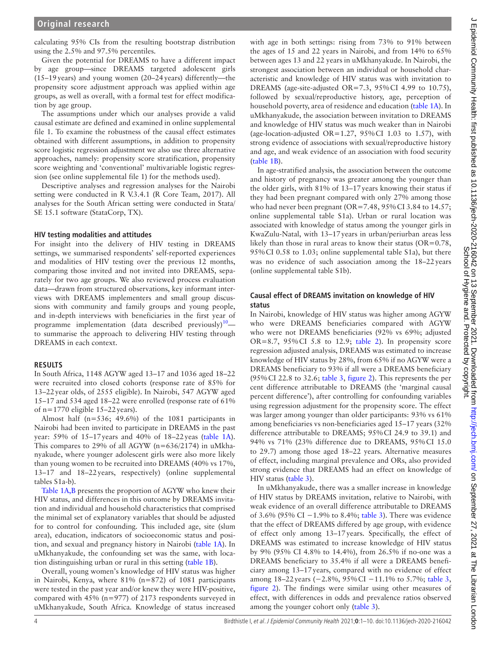calculating 95% CIs from the resulting bootstrap distribution using the 2.5% and 97.5% percentiles.

Given the potential for DREAMS to have a different impact by age group—since DREAMS targeted adolescent girls (15–19years) and young women (20–24years) differently—the propensity score adjustment approach was applied within age groups, as well as overall, with a formal test for effect modification by age group.

The assumptions under which our analyses provide a valid causal estimate are defined and examined in [online supplemental](https://dx.doi.org/10.1136/jech-2020-216042)  [file 1](https://dx.doi.org/10.1136/jech-2020-216042). To examine the robustness of the causal effect estimates obtained with different assumptions, in addition to propensity score logistic regression adjustment we also use three alternative approaches, namely: propensity score stratification, propensity score weighting and 'conventional' multivariable logistic regression (see [online supplemental file 1\)](https://dx.doi.org/10.1136/jech-2020-216042) for the methods used).

Descriptive analyses and regression analyses for the Nairobi setting were conducted in R V.3.4.1 (R Core Team, 2017). All analyses for the South African setting were conducted in Stata/ SE 15.1 software (StataCorp, TX).

#### **HIV testing modalities and attitudes**

For insight into the delivery of HIV testing in DREAMS settings, we summarised respondents' self-reported experiences and modalities of HIV testing over the previous 12 months, comparing those invited and not invited into DREAMS, separately for two age groups. We also reviewed process evaluation data—drawn from structured observations, key informant interviews with DREAMS implementers and small group discussions with community and family groups and young people, and in-depth interviews with beneficiaries in the first year of programme implementation (data described previously)<sup>10</sup> to summarise the approach to delivering HIV testing through DREAMS in each context.

#### **RESULTS**

In South Africa, 1148 AGYW aged 13–17 and 1036 aged 18–22 were recruited into closed cohorts (response rate of 85% for 13–22year olds, of 2555 eligible). In Nairobi, 547 AGYW aged 15–17 and 534 aged 18–22 were enrolled (response rate of 61% of  $n=1770$  eligible 15–22 years).

Almost half (n=536; 49.6%) of the 1081 participants in Nairobi had been invited to participate in DREAMS in the past year: 59% of 15–17years and 40% of 18–22yeas ([table](#page-4-0) 1A). This compares to 29% of all AGYW (n=636/2174) in uMkhanyakude, where younger adolescent girls were also more likely than young women to be recruited into DREAMS (40% vs 17%, 13–17 and 18–22years, respectively) [\(online supplemental](https://dx.doi.org/10.1136/jech-2020-216042)  [tables S1a-b\)](https://dx.doi.org/10.1136/jech-2020-216042).

[Table](#page-4-0) 1A,B presents the proportion of AGYW who knew their HIV status, and differences in this outcome by DREAMS invitation and individual and household characteristics that comprised the minimal set of explanatory variables that should be adjusted for to control for confounding. This included age, site (slum area), education, indicators of socioeconomic status and position, and sexual and pregnancy history in Nairobi [\(table](#page-4-0) 1A). In uMkhanyakude, the confounding set was the same, with location distinguishing urban or rural in this setting [\(table](#page-4-0) 1B).

Overall, young women's knowledge of HIV status was higher in Nairobi, Kenya, where 81% (n=872) of 1081 participants were tested in the past year and/or knew they were HIV-positive, compared with 45% (n=977) of 2173 respondents surveyed in uMkhanyakude, South Africa. Knowledge of status increased

with age in both settings: rising from 73% to 91% between the ages of 15 and 22 years in Nairobi, and from 14% to 65% between ages 13 and 22 years in uMkhanyakude. In Nairobi, the strongest association between an individual or household characteristic and knowledge of HIV status was with invitation to DREAMS (age-site-adjusted OR=7.3, 95%CI 4.99 to 10.75), followed by sexual/reproductive history, age, perception of household poverty, area of residence and education [\(table](#page-4-0) 1A). In uMkhanyakude, the association between invitation to DREAMS and knowledge of HIV status was much weaker than in Nairobi (age-location-adjusted OR=1.27,  $95\%$ CI 1.03 to 1.57), with strong evidence of associations with sexual/reproductive history and age, and weak evidence of an association with food security ([table](#page-4-0) 1B).

In age-stratified analysis, the association between the outcome and history of pregnancy was greater among the younger than the older girls, with 81% of 13–17years knowing their status if they had been pregnant compared with only 27% among those who had never been pregnant (OR=7.48, 95% CI 3.84 to 14.57; [online supplemental table S1a](https://dx.doi.org/10.1136/jech-2020-216042)). Urban or rural location was associated with knowledge of status among the younger girls in KwaZulu-Natal, with 13–17years in urban/periurban areas less likely than those in rural areas to know their status  $(OR=0.78,$ 95%CI 0.58 to 1.03; [online supplemental table S1a\)](https://dx.doi.org/10.1136/jech-2020-216042), but there was no evidence of such association among the 18–22years ([online supplemental table S1b](https://dx.doi.org/10.1136/jech-2020-216042)).

#### **Causal effect of DREAMS invitation on knowledge of HIV status**

In Nairobi, knowledge of HIV status was higher among AGYW who were DREAMS beneficiaries compared with AGYW who were not DREAMS beneficiaries (92% vs 69%; adjusted OR=8.7,  $95\%$ CI 5.8 to 12.9; [table](#page-6-0) 2). In propensity score regression adjusted analysis, DREAMS was estimated to increase knowledge of HIV status by 28%, from 65% if no AGYW were a DREAMS beneficiary to 93% if all were a DREAMS beneficiary (95%CI 22.8 to 32.6; [table](#page-6-1) 3, [figure](#page-7-0) 2). This represents the per cent difference attributable to DREAMS (the 'marginal causal percent difference'), after controlling for confounding variables using regression adjustment for the propensity score. The effect was larger among younger than older participants: 93% vs 61% among beneficiaries vs non-beneficiaries aged 15–17 years (32% difference attributable to DREAMS; 95%CI 24.9 to 39.1) and 94% vs 71% (23% difference due to DREAMS, 95%CI 15.0 to 29.7) among those aged 18–22 years. Alternative measures of effect, including marginal prevalence and ORs, also provided strong evidence that DREAMS had an effect on knowledge of HIV status [\(table](#page-6-1) 3).

In uMkhanyakude, there was a smaller increase in knowledge of HIV status by DREAMS invitation, relative to Nairobi, with weak evidence of an overall difference attributable to DREAMS of 3.6% (95% CI −1.9% to 8.4%; [table](#page-6-1) 3). There was evidence that the effect of DREAMS differed by age group, with evidence of effect only among 13–17years. Specifically, the effect of DREAMS was estimated to increase knowledge of HIV status by 9% (95% CI 4.8% to 14.4%), from 26.5% if no-one was a DREAMS beneficiary to 35.4% if all were a DREAMS beneficiary among 13–17years, compared with no evidence of effect among 18–22years (−2.8%, 95%CI −11.1% to 5.7%; [table](#page-6-1) 3, [figure](#page-7-0) 2). The findings were similar using other measures of effect, with differences in odds and prevalence ratios observed among the younger cohort only [\(table](#page-6-1) 3).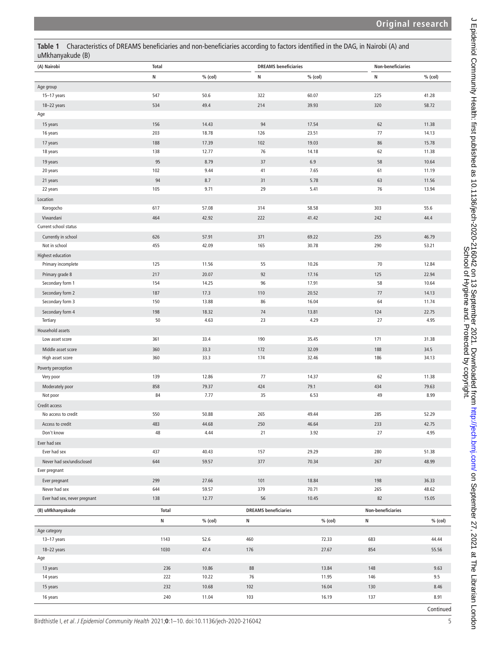| uMkhanyakude (B)             |              |           |                             |           |                          |           |  |  |  |
|------------------------------|--------------|-----------|-----------------------------|-----------|--------------------------|-----------|--|--|--|
| (A) Nairobi                  | <b>Total</b> |           | <b>DREAMS</b> beneficiaries |           | <b>Non-beneficiaries</b> |           |  |  |  |
|                              | N            | $%$ (col) | N                           | $%$ (col) | N                        | $%$ (col) |  |  |  |
| Age group                    |              |           |                             |           |                          |           |  |  |  |
| 15-17 years                  | 547          | 50.6      | 322                         | 60.07     | 225                      | 41.28     |  |  |  |
| 18-22 years                  | 534          | 49.4      | 214                         | 39.93     | 320                      | 58.72     |  |  |  |
| Age                          |              |           |                             |           |                          |           |  |  |  |
| 15 years                     | 156          | 14.43     | 94                          | 17.54     | 62                       | 11.38     |  |  |  |
| 16 years                     | 203          | 18.78     | 126                         | 23.51     | 77                       | 14.13     |  |  |  |
| 17 years                     | 188          | 17.39     | 102                         | 19.03     | 86                       | 15.78     |  |  |  |
| 18 years                     | 138          | 12.77     | 76                          | 14.18     | 62                       | 11.38     |  |  |  |
| 19 years                     | 95           | 8.79      | 37                          | 6.9       | 58                       | 10.64     |  |  |  |
| 20 years                     | 102          | 9.44      | 41                          | 7.65      | 61                       | 11.19     |  |  |  |
| 21 years                     | 94           | 8.7       | 31                          | 5.78      | 63                       | 11.56     |  |  |  |
| 22 years                     | 105          | 9.71      | 29                          | 5.41      | 76                       | 13.94     |  |  |  |
| Location                     |              |           |                             |           |                          |           |  |  |  |
| Korogocho                    | 617          | 57.08     | 314                         | 58.58     | 303                      | 55.6      |  |  |  |
| Viwandani                    | 464          | 42.92     | 222                         | 41.42     | 242                      | 44.4      |  |  |  |
| Current school status        |              |           |                             |           |                          |           |  |  |  |
| Currently in school          | 626          | 57.91     | 371                         | 69.22     | 255                      | 46.79     |  |  |  |
| Not in school                | 455          | 42.09     | 165                         | 30.78     | 290                      | 53.21     |  |  |  |
| <b>Highest education</b>     |              |           |                             |           |                          |           |  |  |  |
| Primary incomplete           | 125          | 11.56     | 55                          | 10.26     | $70\,$                   | 12.84     |  |  |  |
| Primary grade 8              | 217          | 20.07     | 92                          | 17.16     | 125                      | 22.94     |  |  |  |
| Secondary form 1             | 154          | 14.25     | 96                          | 17.91     | 58                       | 10.64     |  |  |  |
| Secondary form 2             | 187          | 17.3      | 110                         | 20.52     | 77                       | 14.13     |  |  |  |
| Secondary form 3             | 150          | 13.88     | 86                          | 16.04     | 64                       | 11.74     |  |  |  |
| Secondary form 4             | 198          | 18.32     | 74                          | 13.81     | 124                      | 22.75     |  |  |  |
| Tertiary                     | 50           | 4.63      | 23                          | 4.29      | 27                       | 4.95      |  |  |  |
| Household assets             |              |           |                             |           |                          |           |  |  |  |
| Low asset score              | 361          | 33.4      | 190                         | 35.45     | 171                      | 31.38     |  |  |  |
| Middle asset score           | 360          | 33.3      | 172                         | 32.09     | 188                      | 34.5      |  |  |  |
| High asset score             | 360          | 33.3      | 174                         | 32.46     | 186                      | 34.13     |  |  |  |
| Poverty perception           |              |           |                             |           |                          |           |  |  |  |
| Very poor                    | 139          | 12.86     | 77                          | 14.37     | 62                       | 11.38     |  |  |  |
| Moderately poor              | 858          | 79.37     | 424                         | 79.1      | 434                      | 79.63     |  |  |  |
| Not poor                     | 84           | 7.77      | 35                          | 6.53      | 49                       | 8.99      |  |  |  |
| Credit access                |              |           |                             |           |                          |           |  |  |  |
| No access to credit          | 550          | 50.88     | 265                         | 49.44     | 285                      | 52.29     |  |  |  |
| Access to credit             | 483          | 44.68     | 250                         | 46.64     | 233                      | 42.75     |  |  |  |
| Don't know                   | 48           | 4.44      | 21                          | 3.92      | 27                       | 4.95      |  |  |  |
| Ever had sex                 |              |           |                             |           |                          |           |  |  |  |
| Ever had sex                 | 437          | 40.43     | 157                         | 29.29     | 280                      | 51.38     |  |  |  |
| Never had sex/undisclosed    | 644          | 59.57     | 377                         | 70.34     | 267                      | 48.99     |  |  |  |
| Ever pregnant                |              |           |                             |           |                          |           |  |  |  |
| Ever pregnant                | 299          | 27.66     | 101                         | 18.84     | 198                      | 36.33     |  |  |  |
| Never had sex                | 644          | 59.57     | 379                         | 70.71     | 265                      | 48.62     |  |  |  |
| Ever had sex, never pregnant | 138          | 12.77     | 56                          | 10.45     | 82                       | 15.05     |  |  |  |
| (B) uMkhanyakude             | <b>Total</b> |           | <b>DREAMS</b> beneficiaries |           | Non-beneficiaries        |           |  |  |  |
|                              |              |           |                             |           |                          |           |  |  |  |
|                              | ${\sf N}$    | $%$ (col) | N                           | $%$ (col) | N                        | $%$ (col) |  |  |  |
| Age category                 |              |           |                             |           |                          |           |  |  |  |
| 13-17 years                  | 1143         | 52.6      | 460                         | 72.33     | 683                      | 44.44     |  |  |  |
| 18-22 years                  | 1030         | 47.4      | 176                         | 27.67     | 854                      | 55.56     |  |  |  |
| Age                          |              |           |                             |           |                          |           |  |  |  |
| 13 years                     | 236          | 10.86     | 88                          | 13.84     | 148                      | 9.63      |  |  |  |
| 14 years                     | 222          | 10.22     | 76                          | 11.95     | 146                      | 9.5       |  |  |  |
| 15 years                     | 232          | 10.68     | 102                         | 16.04     | 130                      | 8.46      |  |  |  |
| 16 years                     | 240          | 11.04     | 103                         | 16.19     | 137                      | 8.91      |  |  |  |

<span id="page-4-0"></span>**Table 1** Characteristics of DREAMS beneficiaries and non-beneficiaries according to factors identified in the DAG, in Nairobi (A) and

Birdthistle I, et al. J Epidemiol Community Health 2021;**0**:1–10. doi:10.1136/jech-2020-216042 5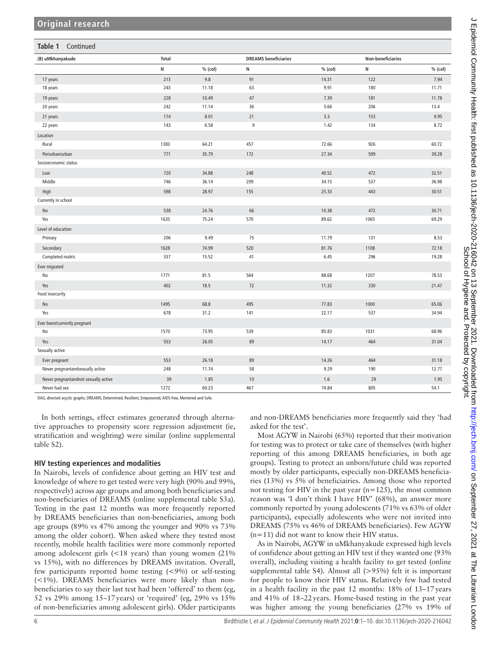| Table 1<br>Continued                 |              |           |                             |         |                   |           |  |  |
|--------------------------------------|--------------|-----------|-----------------------------|---------|-------------------|-----------|--|--|
| (B) uMkhanyakude                     | <b>Total</b> |           | <b>DREAMS</b> beneficiaries |         | Non-beneficiaries |           |  |  |
|                                      | N            | $%$ (col) | N                           | % (col) | N                 | $%$ (col) |  |  |
| 17 years                             | 213          | 9.8       | 91                          | 14.31   | 122               | 7.94      |  |  |
| 18 years                             | 243          | 11.18     | 63                          | 9.91    | 180               | 11.71     |  |  |
| 19 years                             | 228          | 10.49     | 47                          | 7.39    | 181               | 11.78     |  |  |
| 20 years                             | 242          | 11.14     | 36                          | 5.66    | 206               | 13.4      |  |  |
| 21 years                             | 174          | 8.01      | 21                          | 3.3     | 153               | 9.95      |  |  |
| 22 years                             | 143          | 6.58      | $\boldsymbol{9}$            | 1.42    | 134               | 8.72      |  |  |
| Location                             |              |           |                             |         |                   |           |  |  |
| Rural                                | 1383         | 64.21     | 457                         | 72.66   | 926               | 60.72     |  |  |
| Periurban/urban                      | 771          | 35.79     | 172                         | 27.34   | 599               | 39.28     |  |  |
| Socioeconomic status                 |              |           |                             |         |                   |           |  |  |
| Low                                  | 720          | 34.88     | 248                         | 40.52   | 472               | 32.51     |  |  |
| Middle                               | 746          | 36.14     | 209                         | 34.15   | 537               | 36.98     |  |  |
| High                                 | 598          | 28.97     | 155                         | 25.33   | 443               | 30.51     |  |  |
| Currently in school                  |              |           |                             |         |                   |           |  |  |
| No                                   | 538          | 24.76     | 66                          | 10.38   | 472               | 30.71     |  |  |
| Yes                                  | 1635         | 75.24     | 570                         | 89.62   | 1065              | 69.29     |  |  |
| Level of education                   |              |           |                             |         |                   |           |  |  |
| Primary                              | 206          | 9.49      | 75                          | 11.79   | 131               | 8.53      |  |  |
| Secondary                            | 1628         | 74.99     | 520                         | 81.76   | 1108              | 72.18     |  |  |
| Completed matric                     | 337          | 15.52     | 41                          | 6.45    | 296               | 19.28     |  |  |
| Ever migrated                        |              |           |                             |         |                   |           |  |  |
| No                                   | 1771         | 81.5      | 564                         | 88.68   | 1207              | 78.53     |  |  |
| Yes                                  | 402          | 18.5      | 72                          | 11.32   | 330               | 21.47     |  |  |
| Food insecurity                      |              |           |                             |         |                   |           |  |  |
| No                                   | 1495         | 68.8      | 495                         | 77.83   | 1000              | 65.06     |  |  |
| Yes                                  | 678          | 31.2      | 141                         | 22.17   | 537               | 34.94     |  |  |
| Ever been/currently pregnant         |              |           |                             |         |                   |           |  |  |
| No                                   | 1570         | 73.95     | 539                         | 85.83   | 1031              | 68.96     |  |  |
| Yes                                  | 553          | 26.05     | 89                          | 14.17   | 464               | 31.04     |  |  |
| Sexually active                      |              |           |                             |         |                   |           |  |  |
| Ever pregnant                        | 553          | 26.18     | 89                          | 14.26   | 464               | 31.18     |  |  |
| Never pregnantandsexually active     | 248          | 11.74     | 58                          | 9.29    | 190               | 12.77     |  |  |
| Never pregnantandnot sexually active | 39           | 1.85      | $10\,$                      | 1.6     | 29                | 1.95      |  |  |
| Never had sex                        | 1272         | 60.23     | 467                         | 74.84   | 805               | 54.1      |  |  |

DAG, directed acyclic graphs; DREAMS, Determined, Resilient, Empowered, AIDS-free, Mentored and Safe.

In both settings, effect estimates generated through alternative approaches to propensity score regression adjustment (ie, stratification and weighting) were similar ([online supplemental](https://dx.doi.org/10.1136/jech-2020-216042)  [table S2\)](https://dx.doi.org/10.1136/jech-2020-216042).

#### **HIV testing experiences and modalities**

In Nairobi, levels of confidence about getting an HIV test and knowledge of where to get tested were very high (90% and 99%, respectively) across age groups and among both beneficiaries and non-beneficiaries of DREAMS [\(online supplemental table S3a](https://dx.doi.org/10.1136/jech-2020-216042)). Testing in the past 12 months was more frequently reported by DREAMS beneficiaries than non-beneficiaries, among both age groups (89% vs 47% among the younger and 90% vs 73% among the older cohort). When asked where they tested most recently, mobile health facilities were more commonly reported among adolescent girls (<18 years) than young women (21% vs 15%), with no differences by DREAMS invitation. Overall, few participants reported home testing (<9%) or self-testing  $(<1%)$ . DREAMS beneficiaries were more likely than nonbeneficiaries to say their last test had been 'offered' to them (eg, 52 vs 29% among 15–17years) or 'required' (eg, 29% vs 15% of non-beneficiaries among adolescent girls). Older participants

and non-DREAMS beneficiaries more frequently said they 'had asked for the test'.

Most AGYW in Nairobi (65%) reported that their motivation for testing was to protect or take care of themselves (with higher reporting of this among DREAMS beneficiaries, in both age groups). Testing to protect an unborn/future child was reported mostly by older participants, especially non-DREAMS beneficiaries (13%) vs 5% of beneficiairies. Among those who reported not testing for HIV in the past year (n=125), the most common reason was 'I don't think I have HIV' (68%), an answer more commonly reported by young adolescents (71% vs 63% of older participants), especially adolescents who were not invited into DREAMS (75% vs 46% of DREAMS beneficiaries). Few AGYW  $(n=11)$  did not want to know their HIV status.

As in Nairobi, AGYW in uMkhanyakude expressed high levels of confidence about getting an HIV test if they wanted one (93% overall), including visiting a health facility to get tested [\(online](https://dx.doi.org/10.1136/jech-2020-216042) [supplemental table S4\)](https://dx.doi.org/10.1136/jech-2020-216042). Almost all (>95%) felt it is important for people to know their HIV status. Relatively few had tested in a health facility in the past 12 months: 18% of 13–17years and 41% of 18–22years. Home-based testing in the past year was higher among the young beneficiaries (27% vs 19% of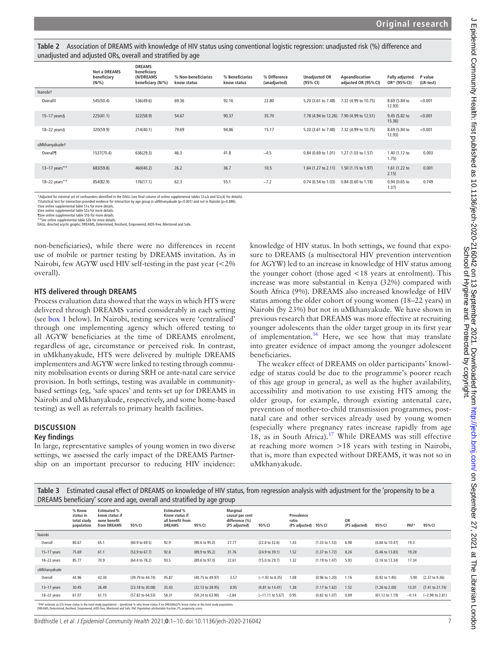<span id="page-6-0"></span>**Table 2** Association of DREAMS with knowledge of HIV status using conventional logistic regression: unadjusted risk (%) difference and unadjusted and adjusted ORs, overall and stratified by age

|                 | <b>Not a DREAMS</b><br>beneficiary<br>(N/%) | <b>DREAMS</b><br>beneficiary<br>(N/DREAMS)<br>beneficiary (N/%) | % Non-beneficiaries<br>know status | % Beneficiaries<br>know status | % Difference<br>(unadjusted) | <b>Unadjusted OR</b><br>(95% CI) | Ageandlocation<br>adjusted OR (95% CI)    | <b>Fully adjusted</b><br>OR* (95% CI) | P value<br>(LR-test) |
|-----------------|---------------------------------------------|-----------------------------------------------------------------|------------------------------------|--------------------------------|------------------------------|----------------------------------|-------------------------------------------|---------------------------------------|----------------------|
| Nairobit        |                                             |                                                                 |                                    |                                |                              |                                  |                                           |                                       |                      |
| Overall#        | 545(50.4)                                   | 536(49.6)                                                       | 69.36                              | 92.16                          | 22.80                        | 5.20 (3.61 to 7.48)              | 7.32 (4.99 to 10.75)                      | 8.69 (5.84 to<br>12.93)               | < 0.001              |
| $15-17$ years§  | 225(41.1)                                   | 322(58.9)                                                       | 54.67                              | 90.37                          | 35.70                        |                                  | 7.78 (4.94 to 12.26) 7.90 (4.99 to 12.51) | 9.45 (5.82 to<br>15.36)               | < 0.001              |
| $18 - 22$ years | 320(59.9)                                   | 214(40.1)                                                       | 79.69                              | 94.86                          | 15.17                        | 5.20 (3.61 to 7.48)              | 7.32 (4.99 to 10.75)                      | 8.69 (5.84 to<br>12.93)               | < 0.001              |
| uMkhanyakudet   |                                             |                                                                 |                                    |                                |                              |                                  |                                           |                                       |                      |
| Overall¶        | 1537(70.4)                                  | 636(29.3)                                                       | 46.3                               | 41.8                           | $-4.5$                       | 0.84 (0.69 to 1.01)              | 1.27 (1.03 to 1.57)                       | 1.40 (1.12 to<br>1.75)                | 0.003                |
| 13-17 years**   | 683(59.8)                                   | 460(40.2)                                                       | 26.2                               | 36.7                           | 10.5                         | 1.64 (1.27 to 2.11)              | 1.50 (1.15 to 1.97)                       | 1.61 (1.22 to<br>2.15)                | 0.001                |
| 18-22 years**   | 854(82.9)                                   | 176(17.1)                                                       | 62.3                               | 55.1                           | $-7.2$                       | 0.74 (0.54 to 1.03)              | 0.84 (0.60 to 1.18)                       | 0.94 (0.65 to<br>1.37)                | 0.749                |

\*Adjusted for minimal set of confounders identified in the DAGs (see final column of [online supplemental tables S1a,b and S2a,b](https://dx.doi.org/10.1136/jech-2020-216042)) for details).<br>†Statistical test for interaction provided evidence for interaction by age grou

‡See [online supplemental table S1a](https://dx.doi.org/10.1136/jech-2020-216042) for more details. §See [online supplemental table S2a](https://dx.doi.org/10.1136/jech-2020-216042) for more details.

¶See [online supplemental table S1b](https://dx.doi.org/10.1136/jech-2020-216042) for more details.<br>\*\*See [online supplemental table S2b](https://dx.doi.org/10.1136/jech-2020-216042) for more details.<br>DAGs, directed acyclic graphs; DREAMS, Determined, Resilient, Empowered, AIDS-free, Mentored and Safe.

non-beneficiaries), while there were no differences in recent use of mobile or partner testing by DREAMS invitation. As in Nairobi, few AGYW used HIV self-testing in the past year (<2% overall).

#### **HTS delivered through DREAMS**

Process evaluation data showed that the ways in which HTS were delivered through DREAMS varied considerably in each setting (see [box](#page-7-1) 1 below). In Nairobi, testing services were 'centralised' through one implementing agency which offered testing to all AGYW beneficiaries at the time of DREAMS enrolment, regardless of age, circumstance or perceived risk. In contrast, in uMkhanyakude, HTS were delivered by multiple DREAMS implementers and AGYW were linked to testing through community mobilisation events or during SRH or ante-natal care service provision. In both settings, testing was available in communitybased settings (eg, 'safe spaces' and tents set up for DREAMS in Nairobi and uMkhanyakude, respectively, and some home-based testing) as well as referrals to primary health facilities.

#### **DISCUSSION**

#### **Key findings**

In large, representative samples of young women in two diverse settings, we assessed the early impact of the DREAMS Partnership on an important precursor to reducing HIV incidence:

knowledge of HIV status. In both settings, we found that exposure to DREAMS (a multisectoral HIV prevention intervention for AGYW) led to an increase in knowledge of HIV status among the younger cohort (those aged <18 years at enrolment). This increase was more substantial in Kenya (32%) compared with South Africa (9%). DREAMS also increased knowledge of HIV status among the older cohort of young women (18–22 years) in Nairobi (by 23%) but not in uMkhanyakude. We have shown in previous research that DREAMS was more effective at recruiting younger adolescents than the older target group in its first year of implementation.<sup>16</sup> Here, we see how that may translate into greater evidence of impact among the younger adolescent beneficiaries.

The weaker effect of DREAMS on older participants' knowledge of status could be due to the programme's poorer reach of this age group in general, as well as the higher availability, accessibility and motivation to use existing HTS among the older group, for example, through existing antenatal care, prevention of mother-to-child transmission programmes, postnatal care and other services already used by young women (especially where pregnancy rates increase rapidly from age 18, as in South Africa).<sup>[17](#page-9-12)</sup> While DREAMS was still effective at reaching more women >18 years with testing in Nairobi, that is, more than expected without DREAMS, it was not so in uMkhanyakude.

<span id="page-6-1"></span>**Table 3** Estimated causal effect of DREAMS on knowledge of HIV status, from regression analysis with adjustment for the 'propensity to be a DREAMS beneficiary' score and age, overall and stratified by age group

|                                                                                                                                                                                                                                                                                                    | % Know<br>status in<br>total study<br>population | <b>Estimated %</b><br>know status if<br>none benefit<br>from DREAMS | 95% CI           | <b>Estimated %</b><br>Know status if<br>all benefit from<br><b>DREAMS</b> | 95% CI                      | Marginal<br>causal per cent<br>difference (%)<br>(PS adjusted) | 95% CI                     | Prevalence<br>ratio<br>(PS adjusted) | 95% CI                    | <b>OR</b><br>(PS adjusted) | 95% CI                     | PAF*    | 95% CI                     |
|----------------------------------------------------------------------------------------------------------------------------------------------------------------------------------------------------------------------------------------------------------------------------------------------------|--------------------------------------------------|---------------------------------------------------------------------|------------------|---------------------------------------------------------------------------|-----------------------------|----------------------------------------------------------------|----------------------------|--------------------------------------|---------------------------|----------------------------|----------------------------|---------|----------------------------|
| Nairobi                                                                                                                                                                                                                                                                                            |                                                  |                                                                     |                  |                                                                           |                             |                                                                |                            |                                      |                           |                            |                            |         |                            |
| Overall                                                                                                                                                                                                                                                                                            | 80.67                                            | 65.1                                                                | (60.9 to 69.5)   | 92.9                                                                      | (90.6 to 95.0)              | 27.77                                                          | (22.8 to 32.6)             | 1.43                                 | $(1.33 \text{ to } 1.53)$ | 6.98                       | (4.84 to 10.47)            | 19.3    |                            |
| $15-17$ years                                                                                                                                                                                                                                                                                      | 75.69                                            | 61.1                                                                | (53.9 to 67.7)   | 92.8                                                                      | (89.9 to 95.2)              | 31.76                                                          | (24.9 to 39.1)             | 1.52                                 | $(1.37 \text{ to } 1.72)$ | 8.26                       | $(5.46 \text{ to } 13.83)$ | 19.28   |                            |
| 18-22 years                                                                                                                                                                                                                                                                                        | 85.77                                            | 70.9                                                                | (64.4 to 78.2)   | 93.5                                                                      | (89.6 to 97.0)              | 22.61                                                          | (15.0 to 29.7)             | 1.32                                 | $(1.19 \text{ to } 1.47)$ | 5.93                       | (3.16 to 13.34)            | 17.34   |                            |
| uMkhanyakude                                                                                                                                                                                                                                                                                       |                                                  |                                                                     |                  |                                                                           |                             |                                                                |                            |                                      |                           |                            |                            |         |                            |
| Overall                                                                                                                                                                                                                                                                                            | 44.96                                            | 42.30                                                               | (39.79 to 44.74) | 45.87                                                                     | (40.75 to 49.97)            | 3.57                                                           | $(-1.92$ to 8.35)          | 1.08                                 | (0.96 to 1.20)            | 1.16                       | $(0.92 \text{ to } 1.40)$  | 5.90    | $(2.37$ to $9.36)$         |
| $13-17$ years                                                                                                                                                                                                                                                                                      | 30.45                                            | 26.49                                                               | (23.18 to 30.08) | 35.43                                                                     | $(32.13 \text{ to } 38.95)$ | 8.95                                                           | $(4.81 \text{ to } 14.41)$ | 1.38                                 | $(1.17 \text{ to } 1.62)$ | 1.52                       | $(1.26 \text{ to } 2.00)$  | 13.01   | $(7.41 \text{ to } 21.74)$ |
| 18-22 years                                                                                                                                                                                                                                                                                        | 61.07                                            | 61.15                                                               | (57.82 to 64.53) | 58.31                                                                     | (50.24 to 63.90)            | $-2.84$                                                        | $(-11.11$ to 5.67)         | 0.95                                 | $(0.82 \text{ to } 1.07)$ | 0.89                       | (61.12 to 1.19)            | $-0.14$ | $(-2.98 \text{ to } 2.81)$ |
| *PAF estimate as ((% know status in the total study population) - (predicted % who know status if no DREAMs))/% know status in the total study population.<br>DREAMS, Determined, Resilient, Empowered, AIDS-free, Mentored and Safe: PAF, Population attributable fraction: PS, propensity score, |                                                  |                                                                     |                  |                                                                           |                             |                                                                |                            |                                      |                           |                            |                            |         |                            |

Birdthistle I, et al. J Epidemiol Community Health 2021;**0**:1–10. doi:10.1136/jech-2020-216042 7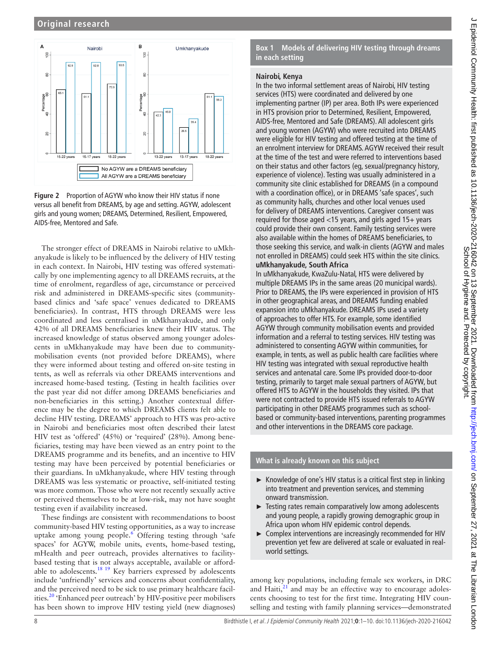

<span id="page-7-0"></span>

The stronger effect of DREAMS in Nairobi relative to uMkhanyakude is likely to be influenced by the delivery of HIV testing in each context. In Nairobi, HIV testing was offered systematically by one implementing agency to all DREAMS recruits, at the time of enrolment, regardless of age, circumstance or perceived risk and administered in DREAMS-specific sites (communitybased clinics and 'safe space' venues dedicated to DREAMS beneficiaries). In contrast, HTS through DREAMS were less coordinated and less centralised in uMkhanyakude, and only 42% of all DREAMS beneficiaries knew their HIV status. The increased knowledge of status observed among younger adolescents in uMkhanyakude may have been due to communitymobilisation events (not provided before DREAMS), where they were informed about testing and offered on-site testing in tents, as well as referrals via other DREAMS interventions and increased home-based testing. (Testing in health facilities over the past year did not differ among DREAMS beneficiaries and non-beneficiaries in this setting.) Another contextual difference may be the degree to which DREAMS clients felt able to decline HIV testing. DREAMS' approach to HTS was pro-active in Nairobi and beneficiaries most often described their latest HIV test as 'offered' (45%) or 'required' (28%). Among beneficiaries, testing may have been viewed as an entry point to the DREAMS programme and its benefits, and an incentive to HIV testing may have been perceived by potential beneficiaries or their guardians. In uMkhanyakude, where HIV testing through DREAMS was less systematic or proactive, self-initiated testing was more common. Those who were not recently sexually active or perceived themselves to be at low-risk, may not have sought testing even if availability increased.

These findings are consistent with recommendations to boost community-based HIV testing opportunities, as a way to increase uptake among young people.<sup>[6](#page-9-4)</sup> Offering testing through 'safe spaces' for AGYW, mobile units, events, home-based testing, mHealth and peer outreach, provides alternatives to facilitybased testing that is not always acceptable, available or affordable to adolescents.<sup>18</sup> <sup>19</sup> Key barriers expressed by adolescents include 'unfriendly' services and concerns about confidentiality, and the perceived need to be sick to use primary healthcare facilities.[20](#page-9-14) 'Enhanced peer outreach' by HIV-positive peer mobilisers has been shown to improve HIV testing yield (new diagnoses)

**Box 1 Models of delivering HIV testing through dreams in each setting**

## <span id="page-7-1"></span>**Nairobi, Kenya**

In the two informal settlement areas of Nairobi, HIV testing services (HTS) were coordinated and delivered by one implementing partner (IP) per area. Both IPs were experienced in HTS provision prior to Determined, Resilient, Empowered, AIDS-free, Mentored and Safe (DREAMS). All adolescent girls and young women (AGYW) who were recruited into DREAMS were eligible for HIV testing and offered testing at the time of an enrolment interview for DREAMS. AGYW received their result at the time of the test and were referred to interventions based on their status and other factors (eg, sexual/pregnancy history, experience of violence). Testing was usually administered in a community site clinic established for DREAMS (in a compound with a coordination office), or in DREAMS 'safe spaces', such as community halls, churches and other local venues used for delivery of DREAMS interventions. Caregiver consent was required for those aged <15 years, and girls aged 15+ years could provide their own consent. Family testing services were also available within the homes of DREAMS beneficiaries, to those seeking this service, and walk-in clients (AGYW and males not enrolled in DREAMS) could seek HTS within the site clinics. **uMkhanyakude, South Africa**

In uMkhanyakude, KwaZulu-Natal, HTS were delivered by multiple DREAMS IPs in the same areas (20 municipal wards). Prior to DREAMS, the IPs were experienced in provision of HTS in other geographical areas, and DREAMS funding enabled expansion into uMkhanyakude. DREAMS IPs used a variety of approaches to offer HTS. For example, some identified AGYW through community mobilisation events and provided information and a referral to testing services. HIV testing was administered to consenting AGYW within communities, for example, in tents, as well as public health care facilities where HIV testing was integrated with sexual reproductive health services and antenatal care. Some IPs provided door-to-door testing, primarily to target male sexual partners of AGYW, but offered HTS to AGYW in the households they visited. IPs that were not contracted to provide HTS issued referrals to AGYW participating in other DREAMS programmes such as schoolbased or community-based interventions, parenting programmes and other interventions in the DREAMS core package.

## **What is already known on this subject**

- ► Knowledge of one's HIV status is a critical first step in linking into treatment and prevention services, and stemming onward transmission.
- ► Testing rates remain comparatively low among adolescents and young people, a rapidly growing demographic group in Africa upon whom HIV epidemic control depends.
- ► Complex interventions are increasingly recommended for HIV prevention yet few are delivered at scale or evaluated in realworld settings.

among key populations, including female sex workers, in DRC and Haiti, $^{21}$  and may be an effective way to encourage adolescents choosing to test for the first time. Integrating HIV counselling and testing with family planning services—demonstrated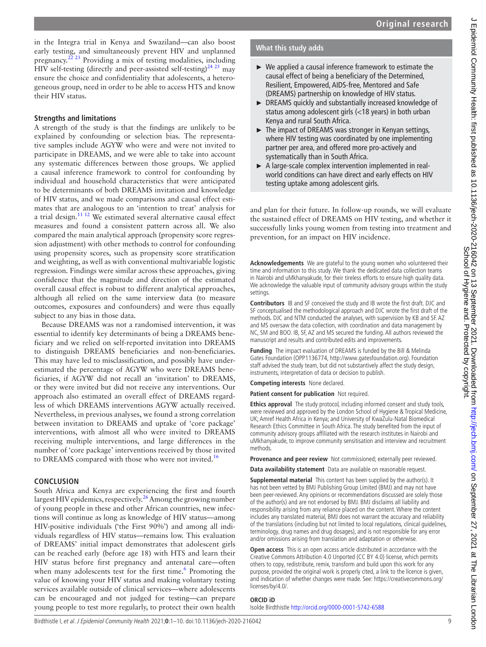in the Integra trial in Kenya and Swaziland—can also boost early testing, and simultaneously prevent HIV and unplanned pregnancy[.22 23](#page-9-16) Providing a mix of testing modalities, including HIV self-testing (directly and peer-assisted self-testing)<sup>24, 25</sup> may ensure the choice and confidentiality that adolescents, a heterogeneous group, need in order to be able to access HTS and know their HIV status.

## **Strengths and limitations**

A strength of the study is that the findings are unlikely to be explained by confounding or selection bias. The representative samples include AGYW who were and were not invited to participate in DREAMS, and we were able to take into account any systematic differences between those groups. We applied a causal inference framework to control for confounding by individual and household characteristics that were anticipated to be determinants of both DREAMS invitation and knowledge of HIV status, and we made comparisons and causal effect estimates that are analogous to an 'intention to treat' analysis for a trial design.<sup>[11 12](#page-9-8)</sup> We estimated several alternative causal effect measures and found a consistent pattern across all. We also compared the main analytical approach (propensity score regression adjustment) with other methods to control for confounding using propensity scores, such as propensity score stratification and weighting, as well as with conventional multivariable logistic regression. Findings were similar across these approaches, giving confidence that the magnitude and direction of the estimated overall causal effect is robust to different analytical approaches, although all relied on the same interview data (to measure outcomes, exposures and confounders) and were thus equally subject to any bias in those data.

Because DREAMS was not a randomised intervention, it was essential to identify key determinants of being a DREAMS beneficiary and we relied on self-reported invitation into DREAMS to distinguish DREAMS beneficiaries and non-beneficiaries. This may have led to misclassification, and possibly have underestimated the percentage of AGYW who were DREAMS beneficiaries, if AGYW did not recall an 'invitation' to DREAMS, or they were invited but did not receive any interventions. Our approach also estimated an overall effect of DREAMS regardless of which DREAMS interventions AGYW actually received. Nevertheless, in previous analyses, we found a strong correlation between invitation to DREAMS and uptake of 'core package' interventions, with almost all who were invited to DREAMS receiving multiple interventions, and large differences in the number of 'core package' interventions received by those invited to DREAMS compared with those who were not invited.<sup>[16](#page-9-11)</sup>

## **CONCLUSION**

South Africa and Kenya are experiencing the first and fourth largest HIV epidemics, respectively.<sup>26</sup> Among the growing number of young people in these and other African countries, new infections will continue as long as knowledge of HIV status—among HIV-positive individuals ('the First 90%') and among all individuals regardless of HIV status—remains low. This evaluation of DREAMS' initial impact demonstrates that adolescent girls can be reached early (before age 18) with HTS and learn their HIV status before first pregnancy and antenatal care—often when many adolescents test for the first time.<sup>6</sup> Promoting the value of knowing your HIV status and making voluntary testing services available outside of clinical services—where adolescents can be encouraged and not judged for testing—can prepare young people to test more regularly, to protect their own health

## **What this study adds**

- ► We applied a causal inference framework to estimate the causal effect of being a beneficiary of the Determined, Resilient, Empowered, AIDS-free, Mentored and Safe (DREAMS) partnership on knowledge of HIV status.
- ► DREAMS quickly and substantially increased knowledge of status among adolescent girls (<18 years) in both urban Kenya and rural South Africa.
- ► The impact of DREAMS was stronger in Kenyan settings, where HIV testing was coordinated by one implementing partner per area, and offered more pro-actively and systematically than in South Africa.
- ► A large-scale complex intervention implemented in realworld conditions can have direct and early effects on HIV testing uptake among adolescent girls.

and plan for their future. In follow-up rounds, we will evaluate the sustained effect of DREAMS on HIV testing, and whether it successfully links young women from testing into treatment and prevention, for an impact on HIV incidence.

**Acknowledgements** We are grateful to the young women who volunteered their time and information to this study. We thank the dedicated data collection teams in Nairobi and uMkhanyakude, for their tireless efforts to ensure high quality data. We acknowledge the valuable input of community advisory groups within the study settings.

**Contributors** IB and SF conceived the study and IB wrote the first draft. DJC and SF conceptualised the methodological approach and DJC wrote the first draft of the methods. DJC and NTM conducted the analyses, with supervision by KB and SF. AZ and MS oversaw the data collection, with coordination and data management by NC, SM and BOO. IB, SF, AZ and MS secured the funding. All authors reviewed the manuscript and results and contributed edits and improvements.

**Funding** The impact evaluation of DREAMS is funded by the Bill & Melinda Gates Foundation (OPP1136774, [http://www.gatesfoundation.org\)](http://www.gatesfoundation.org). Foundation staff advised the study team, but did not substantively affect the study design, instruments, interpretation of data or decision to publish.

**Competing interests** None declared.

**Patient consent for publication** Not required.

**Ethics approval** The study protocol, including informed consent and study tools, were reviewed and approved by the London School of Hygiene & Tropical Medicine, UK; Amref Health Africa in Kenya; and University of KwaZulu-Natal Biomedical Research Ethics Committee in South Africa. The study benefited from the input of community advisory groups affiliated with the research institutes in Nairobi and uMkhanyakude, to improve community sensitisation and interview and recruitment methods.

**Provenance and peer review** Not commissioned; externally peer reviewed.

**Data availability statement** Data are available on reasonable request.

**Supplemental material** This content has been supplied by the author(s). It has not been vetted by BMJ Publishing Group Limited (BMJ) and may not have been peer-reviewed. Any opinions or recommendations discussed are solely those of the author(s) and are not endorsed by BMJ. BMJ disclaims all liability and responsibility arising from any reliance placed on the content. Where the content includes any translated material, BMJ does not warrant the accuracy and reliability of the translations (including but not limited to local regulations, clinical guidelines, terminology, drug names and drug dosages), and is not responsible for any error and/or omissions arising from translation and adaptation or otherwise.

**Open access** This is an open access article distributed in accordance with the Creative Commons Attribution 4.0 Unported (CC BY 4.0) license, which permits others to copy, redistribute, remix, transform and build upon this work for any purpose, provided the original work is properly cited, a link to the licence is given, and indication of whether changes were made. See: [https://creativecommons.org/](https://creativecommons.org/licenses/by/4.0/) [licenses/by/4.0/.](https://creativecommons.org/licenses/by/4.0/)

#### **ORCID iD**

Isolde Birdthistle <http://orcid.org/0000-0001-5742-6588>